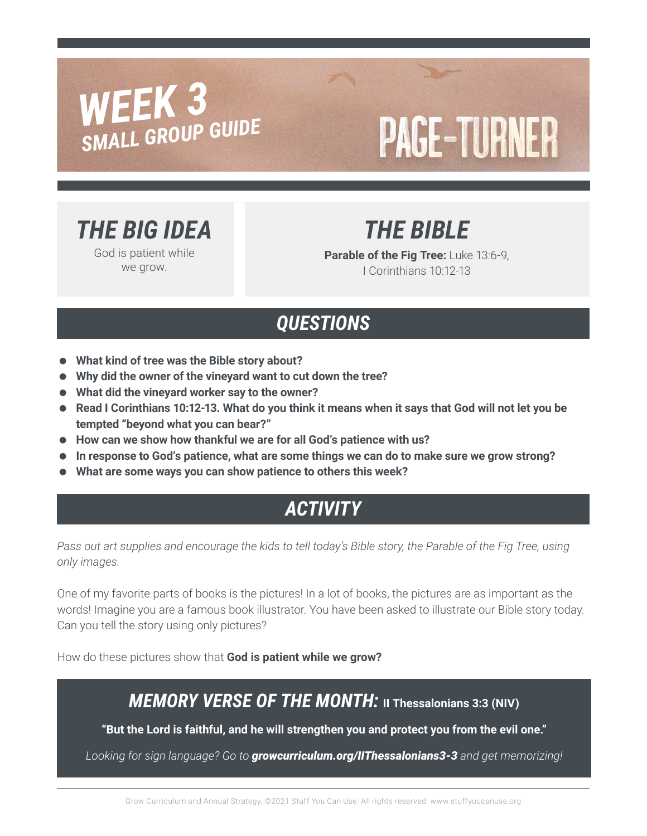#### *Week 3 SMALL GROUP GUIDE WEEK 3 SMALL GROUP GUIDE*

# **PAGE-TURNER**

*THE BIG IDEA*

God is patient while we grow.

*THE BIBLE*

**Parable of the Fig Tree:** Luke 13:6-9, I Corinthians 10:12-13

### *QUESTIONS*

- **What kind of tree was the Bible story about?**
- **Why did the owner of the vineyard want to cut down the tree?**
- **What did the vineyard worker say to the owner?**
- **Read I Corinthians 10:12-13. What do you think it means when it says that God will not let you be tempted "beyond what you can bear?"**
- **How can we show how thankful we are for all God's patience with us?**
- **In response to God's patience, what are some things we can do to make sure we grow strong?**
- **What are some ways you can show patience to others this week?**

## *ACTIVITY*

*Pass out art supplies and encourage the kids to tell today's Bible story, the Parable of the Fig Tree, using only images.*

One of my favorite parts of books is the pictures! In a lot of books, the pictures are as important as the words! Imagine you are a famous book illustrator. You have been asked to illustrate our Bible story today. Can you tell the story using only pictures?

How do these pictures show that **God is patient while we grow?**

#### *MEMORY VERSE OF THE MONTH:* **II Thessalonians 3:3 (NIV)**

**"But the Lord is faithful, and he will strengthen you and protect you from the evil one."**

*Looking for sign language? Go to [growcurriculum.org/IIThessalonians3-3](http://growcurriculum.org/IIThessalonians3-3) and get memorizing!*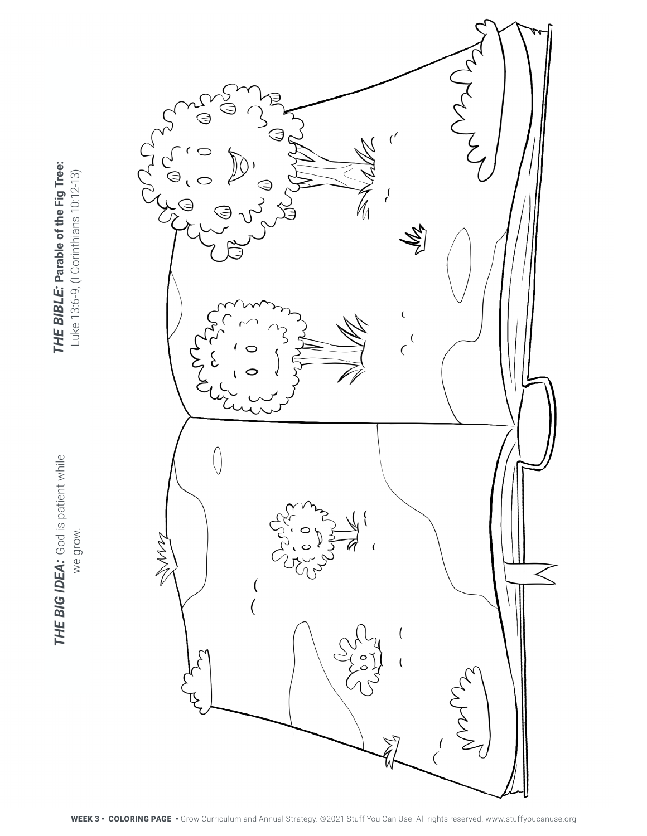

THE BIBLE: Parable of the Fig Tree: *THE BIBLE:* **Parable of the Fig Tree:** Luke 13:6-9, (I Corinthians 10:12-13) Luke 13:6-9, (I Corinthians 10:12-13)

THE BIG IDEA: God is patient while *THE BIG IDEA:* God is patient while we grow.